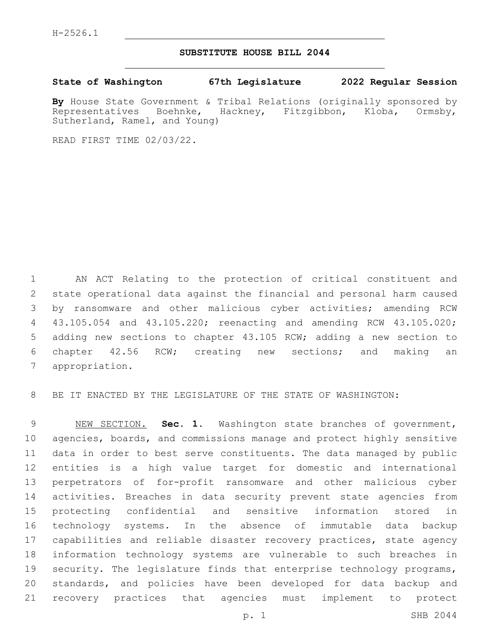## **SUBSTITUTE HOUSE BILL 2044**

**State of Washington 67th Legislature 2022 Regular Session**

**By** House State Government & Tribal Relations (originally sponsored by Representatives Boehnke, Hackney, Fitzgibbon, Kloba, Ormsby, Sutherland, Ramel, and Young)

READ FIRST TIME 02/03/22.

 AN ACT Relating to the protection of critical constituent and state operational data against the financial and personal harm caused by ransomware and other malicious cyber activities; amending RCW 43.105.054 and 43.105.220; reenacting and amending RCW 43.105.020; adding new sections to chapter 43.105 RCW; adding a new section to chapter 42.56 RCW; creating new sections; and making an 7 appropriation.

BE IT ENACTED BY THE LEGISLATURE OF THE STATE OF WASHINGTON:

 NEW SECTION. **Sec. 1.** Washington state branches of government, agencies, boards, and commissions manage and protect highly sensitive data in order to best serve constituents. The data managed by public entities is a high value target for domestic and international perpetrators of for-profit ransomware and other malicious cyber activities. Breaches in data security prevent state agencies from protecting confidential and sensitive information stored in technology systems. In the absence of immutable data backup capabilities and reliable disaster recovery practices, state agency information technology systems are vulnerable to such breaches in 19 security. The legislature finds that enterprise technology programs, standards, and policies have been developed for data backup and recovery practices that agencies must implement to protect

p. 1 SHB 2044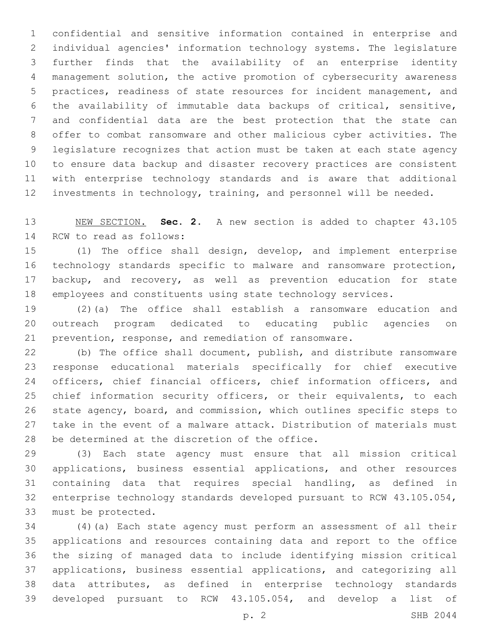confidential and sensitive information contained in enterprise and individual agencies' information technology systems. The legislature further finds that the availability of an enterprise identity management solution, the active promotion of cybersecurity awareness practices, readiness of state resources for incident management, and the availability of immutable data backups of critical, sensitive, and confidential data are the best protection that the state can offer to combat ransomware and other malicious cyber activities. The legislature recognizes that action must be taken at each state agency to ensure data backup and disaster recovery practices are consistent with enterprise technology standards and is aware that additional investments in technology, training, and personnel will be needed.

 NEW SECTION. **Sec. 2.** A new section is added to chapter 43.105 14 RCW to read as follows:

 (1) The office shall design, develop, and implement enterprise technology standards specific to malware and ransomware protection, backup, and recovery, as well as prevention education for state employees and constituents using state technology services.

 (2)(a) The office shall establish a ransomware education and outreach program dedicated to educating public agencies on prevention, response, and remediation of ransomware.

 (b) The office shall document, publish, and distribute ransomware response educational materials specifically for chief executive 24 officers, chief financial officers, chief information officers, and chief information security officers, or their equivalents, to each state agency, board, and commission, which outlines specific steps to take in the event of a malware attack. Distribution of materials must 28 be determined at the discretion of the office.

 (3) Each state agency must ensure that all mission critical applications, business essential applications, and other resources containing data that requires special handling, as defined in enterprise technology standards developed pursuant to RCW 43.105.054, 33 must be protected.

 (4)(a) Each state agency must perform an assessment of all their applications and resources containing data and report to the office the sizing of managed data to include identifying mission critical applications, business essential applications, and categorizing all data attributes, as defined in enterprise technology standards developed pursuant to RCW 43.105.054, and develop a list of

p. 2 SHB 2044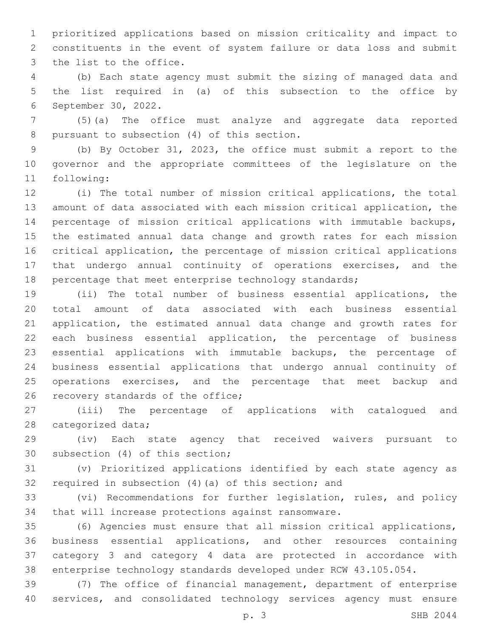prioritized applications based on mission criticality and impact to constituents in the event of system failure or data loss and submit 3 the list to the office.

 (b) Each state agency must submit the sizing of managed data and the list required in (a) of this subsection to the office by 6 September 30, 2022.

 (5)(a) The office must analyze and aggregate data reported 8 pursuant to subsection (4) of this section.

 (b) By October 31, 2023, the office must submit a report to the governor and the appropriate committees of the legislature on the 11 following:

 (i) The total number of mission critical applications, the total amount of data associated with each mission critical application, the percentage of mission critical applications with immutable backups, the estimated annual data change and growth rates for each mission critical application, the percentage of mission critical applications that undergo annual continuity of operations exercises, and the 18 percentage that meet enterprise technology standards;

 (ii) The total number of business essential applications, the total amount of data associated with each business essential application, the estimated annual data change and growth rates for each business essential application, the percentage of business essential applications with immutable backups, the percentage of business essential applications that undergo annual continuity of operations exercises, and the percentage that meet backup and 26 recovery standards of the office;

 (iii) The percentage of applications with catalogued and 28 categorized data;

 (iv) Each state agency that received waivers pursuant to 30 subsection (4) of this section;

 (v) Prioritized applications identified by each state agency as required in subsection (4)(a) of this section; and

 (vi) Recommendations for further legislation, rules, and policy that will increase protections against ransomware.

 (6) Agencies must ensure that all mission critical applications, business essential applications, and other resources containing category 3 and category 4 data are protected in accordance with enterprise technology standards developed under RCW 43.105.054.

 (7) The office of financial management, department of enterprise services, and consolidated technology services agency must ensure

p. 3 SHB 2044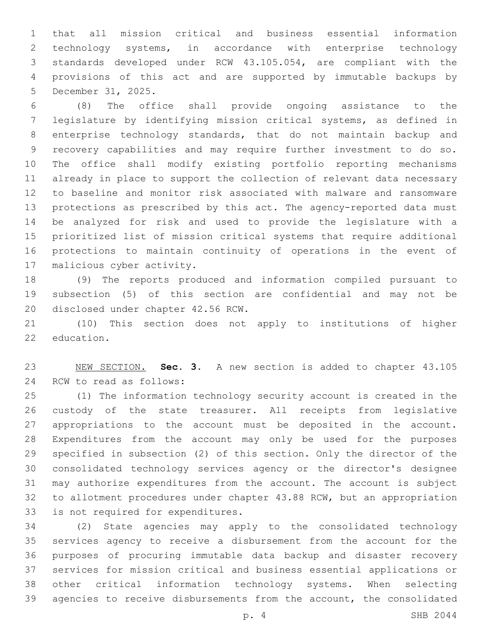that all mission critical and business essential information technology systems, in accordance with enterprise technology standards developed under RCW 43.105.054, are compliant with the provisions of this act and are supported by immutable backups by 5 December 31, 2025.

 (8) The office shall provide ongoing assistance to the legislature by identifying mission critical systems, as defined in enterprise technology standards, that do not maintain backup and recovery capabilities and may require further investment to do so. The office shall modify existing portfolio reporting mechanisms already in place to support the collection of relevant data necessary to baseline and monitor risk associated with malware and ransomware protections as prescribed by this act. The agency-reported data must be analyzed for risk and used to provide the legislature with a prioritized list of mission critical systems that require additional protections to maintain continuity of operations in the event of 17 malicious cyber activity.

 (9) The reports produced and information compiled pursuant to subsection (5) of this section are confidential and may not be 20 disclosed under chapter 42.56 RCW.

 (10) This section does not apply to institutions of higher 22 education.

 NEW SECTION. **Sec. 3.** A new section is added to chapter 43.105 24 RCW to read as follows:

 (1) The information technology security account is created in the custody of the state treasurer. All receipts from legislative appropriations to the account must be deposited in the account. Expenditures from the account may only be used for the purposes specified in subsection (2) of this section. Only the director of the consolidated technology services agency or the director's designee may authorize expenditures from the account. The account is subject to allotment procedures under chapter 43.88 RCW, but an appropriation 33 is not required for expenditures.

 (2) State agencies may apply to the consolidated technology services agency to receive a disbursement from the account for the purposes of procuring immutable data backup and disaster recovery services for mission critical and business essential applications or other critical information technology systems. When selecting agencies to receive disbursements from the account, the consolidated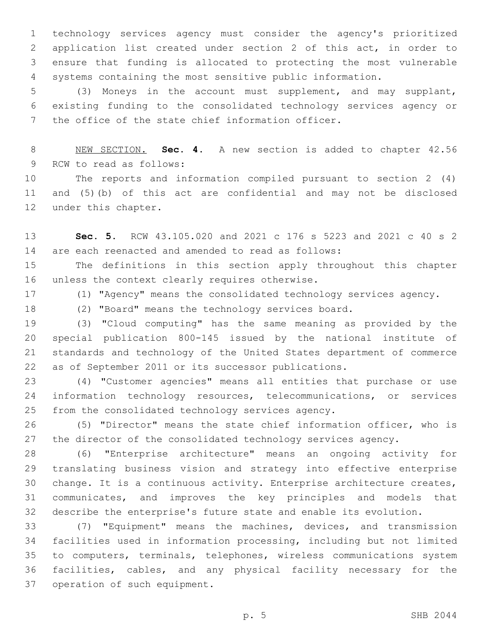technology services agency must consider the agency's prioritized application list created under section 2 of this act, in order to ensure that funding is allocated to protecting the most vulnerable systems containing the most sensitive public information.

 (3) Moneys in the account must supplement, and may supplant, existing funding to the consolidated technology services agency or 7 the office of the state chief information officer.

 NEW SECTION. **Sec. 4.** A new section is added to chapter 42.56 9 RCW to read as follows:

 The reports and information compiled pursuant to section 2 (4) and (5)(b) of this act are confidential and may not be disclosed 12 under this chapter.

 **Sec. 5.** RCW 43.105.020 and 2021 c 176 s 5223 and 2021 c 40 s 2 are each reenacted and amended to read as follows:

 The definitions in this section apply throughout this chapter 16 unless the context clearly requires otherwise.

(1) "Agency" means the consolidated technology services agency.

(2) "Board" means the technology services board.

 (3) "Cloud computing" has the same meaning as provided by the special publication 800-145 issued by the national institute of standards and technology of the United States department of commerce as of September 2011 or its successor publications.

 (4) "Customer agencies" means all entities that purchase or use information technology resources, telecommunications, or services 25 from the consolidated technology services agency.

 (5) "Director" means the state chief information officer, who is the director of the consolidated technology services agency.

 (6) "Enterprise architecture" means an ongoing activity for translating business vision and strategy into effective enterprise change. It is a continuous activity. Enterprise architecture creates, communicates, and improves the key principles and models that describe the enterprise's future state and enable its evolution.

 (7) "Equipment" means the machines, devices, and transmission facilities used in information processing, including but not limited to computers, terminals, telephones, wireless communications system facilities, cables, and any physical facility necessary for the 37 operation of such equipment.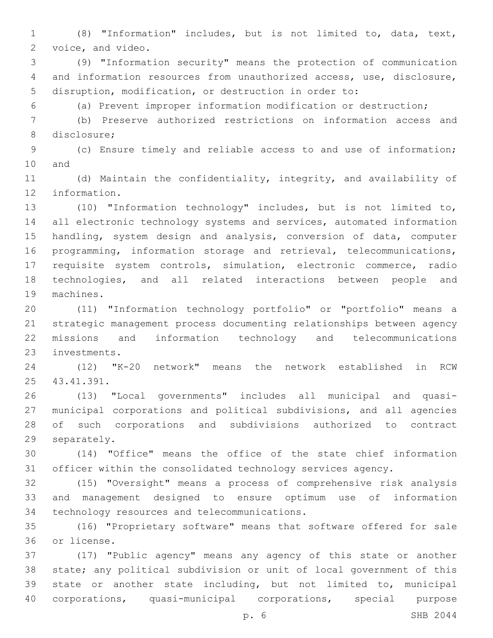(8) "Information" includes, but is not limited to, data, text, 2 voice, and video.

 (9) "Information security" means the protection of communication and information resources from unauthorized access, use, disclosure, disruption, modification, or destruction in order to:

(a) Prevent improper information modification or destruction;

 (b) Preserve authorized restrictions on information access and 8 disclosure;

 (c) Ensure timely and reliable access to and use of information; 10 and

 (d) Maintain the confidentiality, integrity, and availability of 12 information.

 (10) "Information technology" includes, but is not limited to, all electronic technology systems and services, automated information handling, system design and analysis, conversion of data, computer programming, information storage and retrieval, telecommunications, requisite system controls, simulation, electronic commerce, radio technologies, and all related interactions between people and 19 machines.

 (11) "Information technology portfolio" or "portfolio" means a strategic management process documenting relationships between agency missions and information technology and telecommunications 23 investments.

 (12) "K-20 network" means the network established in RCW 25 43.41.391.

 (13) "Local governments" includes all municipal and quasi- municipal corporations and political subdivisions, and all agencies of such corporations and subdivisions authorized to contract 29 separately.

 (14) "Office" means the office of the state chief information officer within the consolidated technology services agency.

 (15) "Oversight" means a process of comprehensive risk analysis and management designed to ensure optimum use of information 34 technology resources and telecommunications.

 (16) "Proprietary software" means that software offered for sale or license.36

 (17) "Public agency" means any agency of this state or another state; any political subdivision or unit of local government of this state or another state including, but not limited to, municipal corporations, quasi-municipal corporations, special purpose

p. 6 SHB 2044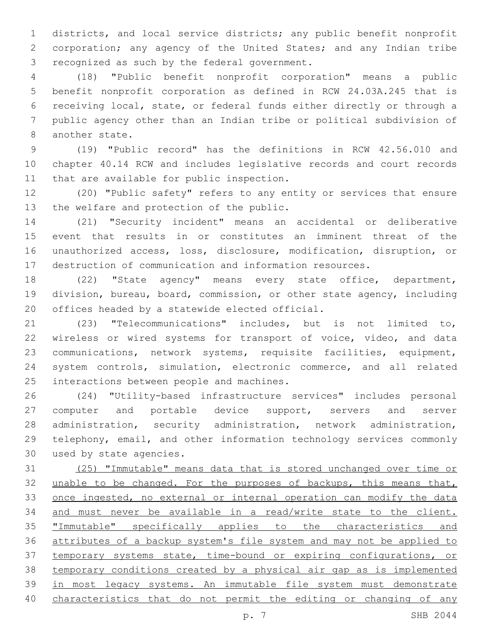districts, and local service districts; any public benefit nonprofit corporation; any agency of the United States; and any Indian tribe 3 recognized as such by the federal government.

 (18) "Public benefit nonprofit corporation" means a public benefit nonprofit corporation as defined in RCW 24.03A.245 that is receiving local, state, or federal funds either directly or through a public agency other than an Indian tribe or political subdivision of 8 another state.

 (19) "Public record" has the definitions in RCW 42.56.010 and chapter 40.14 RCW and includes legislative records and court records 11 that are available for public inspection.

 (20) "Public safety" refers to any entity or services that ensure 13 the welfare and protection of the public.

 (21) "Security incident" means an accidental or deliberative event that results in or constitutes an imminent threat of the unauthorized access, loss, disclosure, modification, disruption, or destruction of communication and information resources.

 (22) "State agency" means every state office, department, division, bureau, board, commission, or other state agency, including 20 offices headed by a statewide elected official.

 (23) "Telecommunications" includes, but is not limited to, wireless or wired systems for transport of voice, video, and data communications, network systems, requisite facilities, equipment, system controls, simulation, electronic commerce, and all related 25 interactions between people and machines.

 (24) "Utility-based infrastructure services" includes personal 27 computer and portable device support, servers and server administration, security administration, network administration, telephony, email, and other information technology services commonly 30 used by state agencies.

 (25) "Immutable" means data that is stored unchanged over time or 32 unable to be changed. For the purposes of backups, this means that, once ingested, no external or internal operation can modify the data and must never be available in a read/write state to the client. "Immutable" specifically applies to the characteristics and attributes of a backup system's file system and may not be applied to temporary systems state, time-bound or expiring configurations, or temporary conditions created by a physical air gap as is implemented in most legacy systems. An immutable file system must demonstrate characteristics that do not permit the editing or changing of any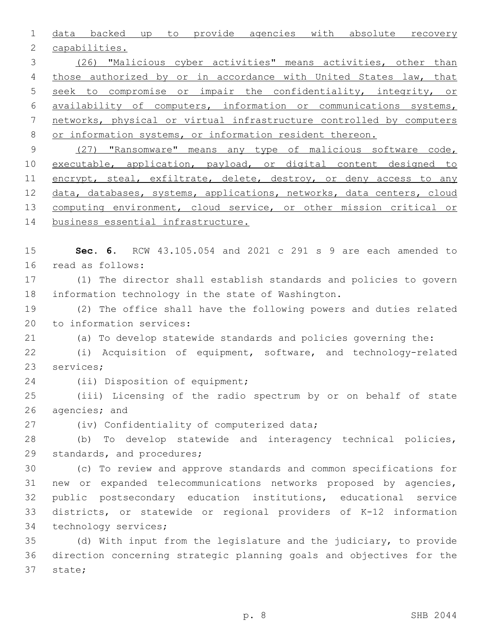1 data backed up to provide agencies with absolute recovery 2 capabilities.

 (26) "Malicious cyber activities" means activities, other than 4 those authorized by or in accordance with United States law, that seek to compromise or impair the confidentiality, integrity, or availability of computers, information or communications systems, networks, physical or virtual infrastructure controlled by computers 8 or information systems, or information resident thereon.

9 (27) "Ransomware" means any type of malicious software code, 10 executable, application, payload, or digital content designed to 11 encrypt, steal, exfiltrate, delete, destroy, or deny access to any 12 data, databases, systems, applications, networks, data centers, cloud 13 computing environment, cloud service, or other mission critical or 14 business essential infrastructure.

15 **Sec. 6.** RCW 43.105.054 and 2021 c 291 s 9 are each amended to 16 read as follows:

17 (1) The director shall establish standards and policies to govern 18 information technology in the state of Washington.

19 (2) The office shall have the following powers and duties related 20 to information services:

21 (a) To develop statewide standards and policies governing the:

22 (i) Acquisition of equipment, software, and technology-related 23 services;

24 (ii) Disposition of equipment;

25 (iii) Licensing of the radio spectrum by or on behalf of state 26 agencies; and

27 (iv) Confidentiality of computerized data;

28 (b) To develop statewide and interagency technical policies, 29 standards, and procedures;

 (c) To review and approve standards and common specifications for new or expanded telecommunications networks proposed by agencies, public postsecondary education institutions, educational service districts, or statewide or regional providers of K-12 information 34 technology services;

35 (d) With input from the legislature and the judiciary, to provide 36 direction concerning strategic planning goals and objectives for the 37 state;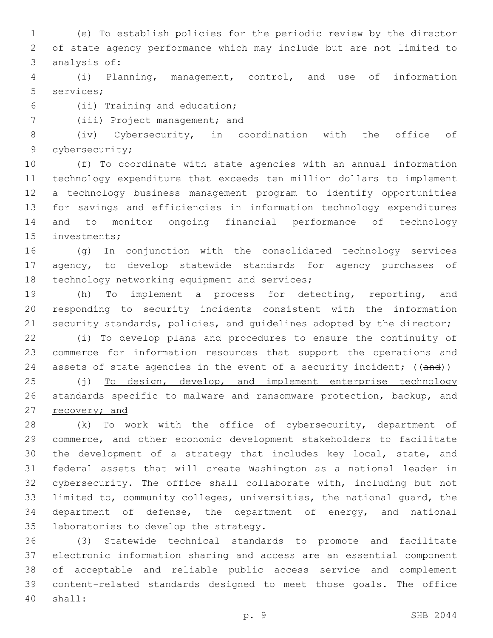(e) To establish policies for the periodic review by the director of state agency performance which may include but are not limited to 3 analysis of:

 (i) Planning, management, control, and use of information 5 services;

- (ii) Training and education;6
- 7 (iii) Project management; and

 (iv) Cybersecurity, in coordination with the office of 9 cybersecurity;

 (f) To coordinate with state agencies with an annual information technology expenditure that exceeds ten million dollars to implement a technology business management program to identify opportunities for savings and efficiencies in information technology expenditures and to monitor ongoing financial performance of technology 15 investments;

 (g) In conjunction with the consolidated technology services agency, to develop statewide standards for agency purchases of 18 technology networking equipment and services;

 (h) To implement a process for detecting, reporting, and responding to security incidents consistent with the information 21 security standards, policies, and quidelines adopted by the director;

 (i) To develop plans and procedures to ensure the continuity of commerce for information resources that support the operations and 24 assets of state agencies in the event of a security incident; ((and))

25 (j) To design, develop, and implement enterprise technology standards specific to malware and ransomware protection, backup, and 27 recovery; and

28 (k) To work with the office of cybersecurity, department of commerce, and other economic development stakeholders to facilitate the development of a strategy that includes key local, state, and federal assets that will create Washington as a national leader in cybersecurity. The office shall collaborate with, including but not limited to, community colleges, universities, the national guard, the department of defense, the department of energy, and national 35 laboratories to develop the strategy.

 (3) Statewide technical standards to promote and facilitate electronic information sharing and access are an essential component of acceptable and reliable public access service and complement content-related standards designed to meet those goals. The office shall:40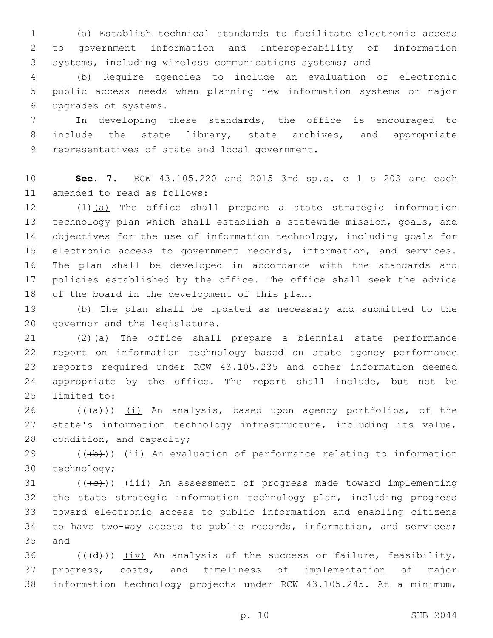1 (a) Establish technical standards to facilitate electronic access 2 to government information and interoperability of information 3 systems, including wireless communications systems; and

4 (b) Require agencies to include an evaluation of electronic 5 public access needs when planning new information systems or major upgrades of systems.6

7 In developing these standards, the office is encouraged to 8 include the state library, state archives, and appropriate 9 representatives of state and local government.

10 **Sec. 7.** RCW 43.105.220 and 2015 3rd sp.s. c 1 s 203 are each 11 amended to read as follows:

12 (1)(a) The office shall prepare a state strategic information 13 technology plan which shall establish a statewide mission, goals, and 14 objectives for the use of information technology, including goals for 15 electronic access to government records, information, and services. 16 The plan shall be developed in accordance with the standards and 17 policies established by the office. The office shall seek the advice 18 of the board in the development of this plan.

19 (b) The plan shall be updated as necessary and submitted to the 20 governor and the legislature.

21 (2)(a) The office shall prepare a biennial state performance 22 report on information technology based on state agency performance 23 reports required under RCW 43.105.235 and other information deemed 24 appropriate by the office. The report shall include, but not be 25 limited to:

26 ( $(\overline{a})$ ) (i) An analysis, based upon agency portfolios, of the 27 state's information technology infrastructure, including its value, 28 condition, and capacity;

 $29$  (( $\left(\frac{1}{2}+\right)$ ) (ii) An evaluation of performance relating to information 30 technology;

 (( $\left(\frac{1}{11}\right)$ ) (iii) An assessment of progress made toward implementing the state strategic information technology plan, including progress toward electronic access to public information and enabling citizens to have two-way access to public records, information, and services; 35 and

36  $((\overline{d}))$   $(iv)$  An analysis of the success or failure, feasibility, 37 progress, costs, and timeliness of implementation of major 38 information technology projects under RCW 43.105.245. At a minimum,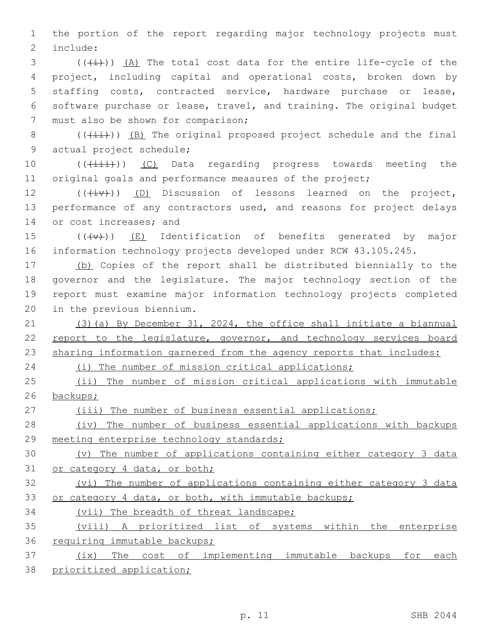1 the portion of the report regarding major technology projects must 2 include:

 (( $\frac{1}{1}$ ))  $\frac{1}{2}$ ) The total cost data for the entire life-cycle of the project, including capital and operational costs, broken down by staffing costs, contracted service, hardware purchase or lease, software purchase or lease, travel, and training. The original budget 7 must also be shown for comparison;

8 ( $(\frac{1+i}{i})$ ) (B) The original proposed project schedule and the final 9 actual project schedule;

10 (( $(i\text{init})$ ) (C) Data regarding progress towards meeting the 11 original goals and performance measures of the project;

 $12$  (( $(iiv)$ ) (D) Discussion of lessons learned on the project, 13 performance of any contractors used, and reasons for project delays 14 or cost increases; and

15  $((+\nabla)+)(E)$  Identification of benefits generated by major 16 information technology projects developed under RCW 43.105.245.

 (b) Copies of the report shall be distributed biennially to the governor and the legislature. The major technology section of the report must examine major information technology projects completed 20 in the previous biennium.

21 (3)(a) By December 31, 2024, the office shall initiate a biannual 22 report to the legislature, governor, and technology services board 23 sharing information garnered from the agency reports that includes:

24 (i) The number of mission critical applications;

25 (ii) The number of mission critical applications with immutable 26 backups;

27 (iii) The number of business essential applications;

28 (iv) The number of business essential applications with backups 29 meeting enterprise technology standards;

30 (v) The number of applications containing either category 3 data 31 or category 4 data, or both;

32 (vi) The number of applications containing either category 3 data 33 or category 4 data, or both, with immutable backups;

34 (vii) The breadth of threat landscape;

35 (viii) A prioritized list of systems within the enterprise 36 requiring immutable backups;

37 (ix) The cost of implementing immutable backups for each 38 prioritized application;